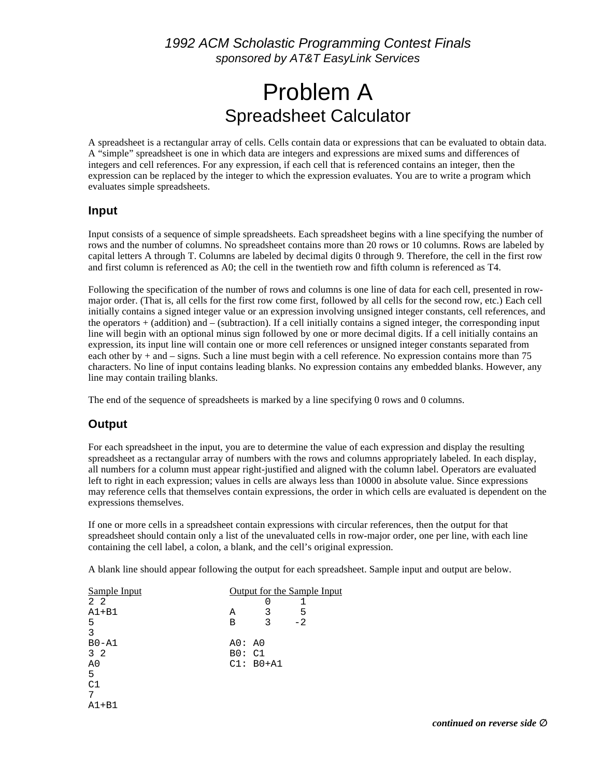# Problem A Spreadsheet Calculator

A spreadsheet is a rectangular array of cells. Cells contain data or expressions that can be evaluated to obtain data. A "simple" spreadsheet is one in which data are integers and expressions are mixed sums and differences of integers and cell references. For any expression, if each cell that is referenced contains an integer, then the expression can be replaced by the integer to which the expression evaluates. You are to write a program which evaluates simple spreadsheets.

### **Input**

Input consists of a sequence of simple spreadsheets. Each spreadsheet begins with a line specifying the number of rows and the number of columns. No spreadsheet contains more than 20 rows or 10 columns. Rows are labeled by capital letters A through T. Columns are labeled by decimal digits 0 through 9. Therefore, the cell in the first row and first column is referenced as A0; the cell in the twentieth row and fifth column is referenced as T4.

Following the specification of the number of rows and columns is one line of data for each cell, presented in rowmajor order. (That is, all cells for the first row come first, followed by all cells for the second row, etc.) Each cell initially contains a signed integer value or an expression involving unsigned integer constants, cell references, and the operators + (addition) and – (subtraction). If a cell initially contains a signed integer, the corresponding input line will begin with an optional minus sign followed by one or more decimal digits. If a cell initially contains an expression, its input line will contain one or more cell references or unsigned integer constants separated from each other by + and – signs. Such a line must begin with a cell reference. No expression contains more than 75 characters. No line of input contains leading blanks. No expression contains any embedded blanks. However, any line may contain trailing blanks.

The end of the sequence of spreadsheets is marked by a line specifying 0 rows and 0 columns.

### **Output**

For each spreadsheet in the input, you are to determine the value of each expression and display the resulting spreadsheet as a rectangular array of numbers with the rows and columns appropriately labeled. In each display, all numbers for a column must appear right-justified and aligned with the column label. Operators are evaluated left to right in each expression; values in cells are always less than 10000 in absolute value. Since expressions may reference cells that themselves contain expressions, the order in which cells are evaluated is dependent on the expressions themselves.

If one or more cells in a spreadsheet contain expressions with circular references, then the output for that spreadsheet should contain only a list of the unevaluated cells in row-major order, one per line, with each line containing the cell label, a colon, a blank, and the cell's original expression.

A blank line should appear following the output for each spreadsheet. Sample input and output are below.

|   | 0 |                  |                                                   |
|---|---|------------------|---------------------------------------------------|
| Α | 3 | 5                |                                                   |
| В | 3 | $-2$             |                                                   |
|   |   |                  |                                                   |
|   |   |                  |                                                   |
|   |   |                  |                                                   |
|   |   |                  |                                                   |
|   |   |                  |                                                   |
|   |   |                  |                                                   |
|   |   |                  |                                                   |
|   |   |                  |                                                   |
|   |   | AO: A0<br>B0: C1 | <b>Output for the Sample Input</b><br>$C1: B0+A1$ |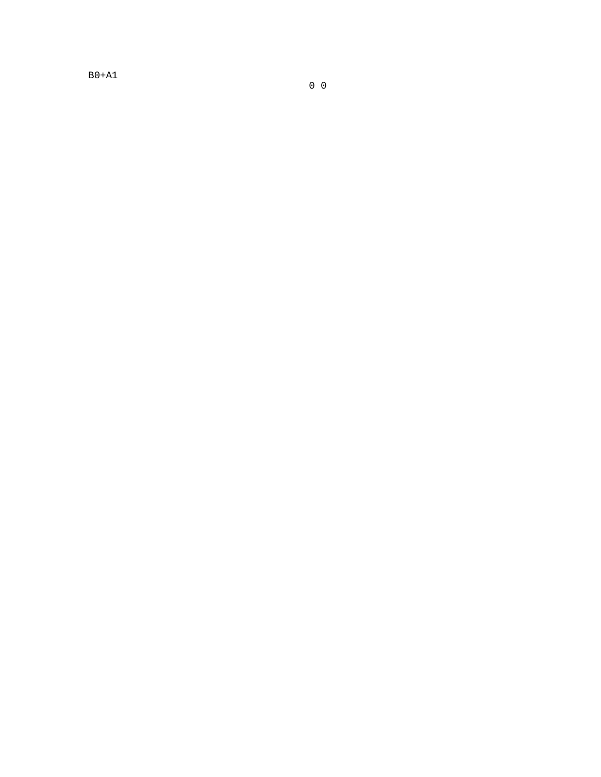B0+A1

0 0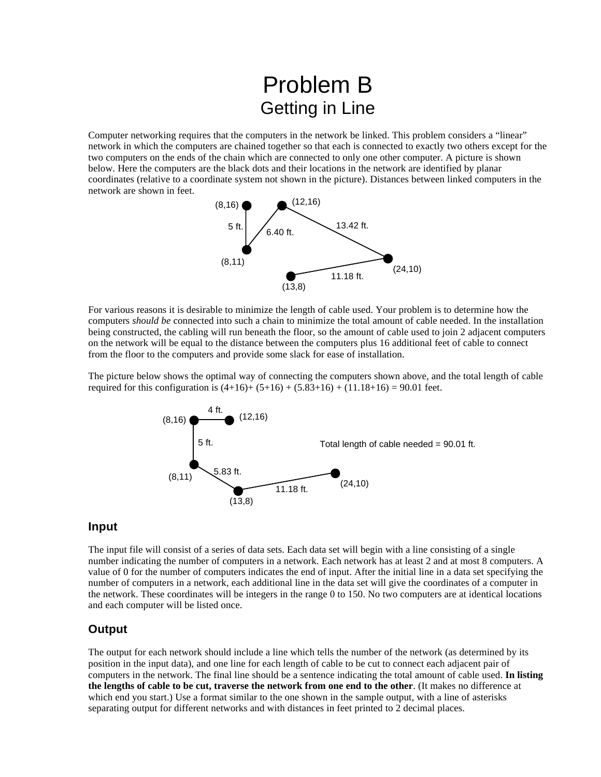# Problem B Getting in Line

Computer networking requires that the computers in the network be linked. This problem considers a "linear" network in which the computers are chained together so that each is connected to exactly two others except for the two computers on the ends of the chain which are connected to only one other computer. A picture is shown below. Here the computers are the black dots and their locations in the network are identified by planar coordinates (relative to a coordinate system not shown in the picture). Distances between linked computers in the network are shown in feet.



For various reasons it is desirable to minimize the length of cable used. Your problem is to determine how the computers *should be* connected into such a chain to minimize the total amount of cable needed. In the installation being constructed, the cabling will run beneath the floor, so the amount of cable used to join 2 adjacent computers on the network will be equal to the distance between the computers plus 16 additional feet of cable to connect from the floor to the computers and provide some slack for ease of installation.

The picture below shows the optimal way of connecting the computers shown above, and the total length of cable required for this configuration is  $(4+16)+(5+16) + (5.83+16) + (11.18+16) = 90.01$  feet.



### **Input**

The input file will consist of a series of data sets. Each data set will begin with a line consisting of a single number indicating the number of computers in a network. Each network has at least 2 and at most 8 computers. A value of 0 for the number of computers indicates the end of input. After the initial line in a data set specifying the number of computers in a network, each additional line in the data set will give the coordinates of a computer in the network. These coordinates will be integers in the range 0 to 150. No two computers are at identical locations and each computer will be listed once.

### **Output**

The output for each network should include a line which tells the number of the network (as determined by its position in the input data), and one line for each length of cable to be cut to connect each adjacent pair of computers in the network. The final line should be a sentence indicating the total amount of cable used. **In listing the lengths of cable to be cut, traverse the network from one end to the other**. (It makes no difference at which end you start.) Use a format similar to the one shown in the sample output, with a line of asterisks separating output for different networks and with distances in feet printed to 2 decimal places.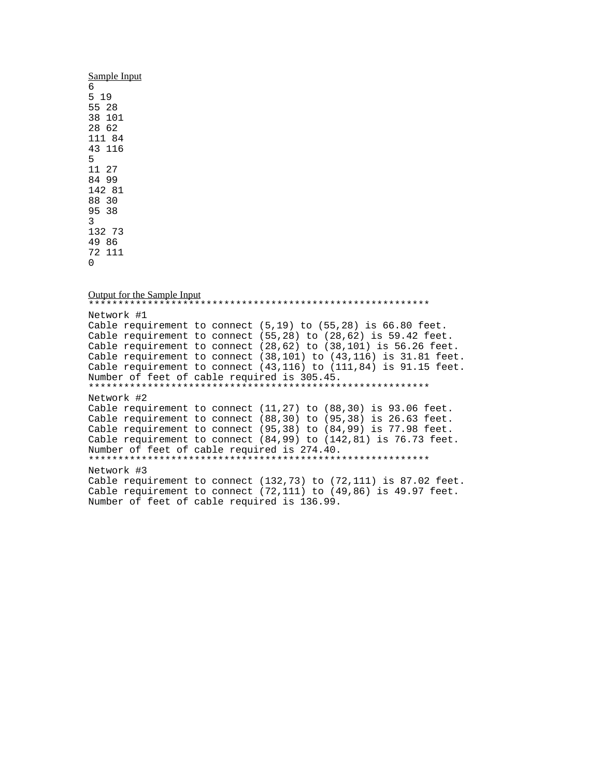| <u>Sample Input</u> |
|---------------------|
| б                   |
| 5 19                |
| 55 28               |
| 38 101              |
| 28 62               |
| 111 84              |
| 43 116              |
| 5                   |
| 11 27               |
| 84 99               |
| 142 81              |
| 88 30               |
| 95 38               |
| 3                   |
| 132 73              |
| 49 86               |
| 72 111              |
| 0                   |

Output for the Sample Input \*\*\*\*\*\*\*\*\*\*\*\*\*\*\*\*\*\*\*\*\*\*\*\*\*\*\*\*\*\*\*\*\*\*\*\*\*\*\*\*\*\*\*\*\*\*\*\*\*\*\*\*\*\*\*\*\*\* Network #1 Cable requirement to connect  $(5,19)$  to  $(55,28)$  is 66.80 feet. Cable requirement to connect (55,28) to (28,62) is 59.42 feet. Cable requirement to connect  $(28,62)$  to  $(38,101)$  is 56.26 feet. Cable requirement to connect (38,101) to (43,116) is 31.81 feet. Cable requirement to connect  $(43,116)$  to  $(111,84)$  is  $91.15$  feet. Number of feet of cable required is 305.45. \*\*\*\*\*\*\*\*\*\*\*\*\*\*\*\*\*\*\*\*\*\*\*\*\*\*\*\*\*\*\*\*\*\*\*\*\*\*\*\*\*\*\*\*\*\*\*\*\*\*\*\*\*\*\*\*\*\* Network #2 Cable requirement to connect  $(11,27)$  to  $(88,30)$  is 93.06 feet. Cable requirement to connect (88,30) to (95,38) is 26.63 feet. Cable requirement to connect (95,38) to (84,99) is 77.98 feet. Cable requirement to connect  $(84,99)$  to  $(142,81)$  is 76.73 feet. Number of feet of cable required is 274.40. \*\*\*\*\*\*\*\*\*\*\*\*\*\*\*\*\*\*\*\*\*\*\*\*\*\*\*\*\*\*\*\*\*\*\*\*\*\*\*\*\*\*\*\*\*\*\*\*\*\*\*\*\*\*\*\*\*\* Network #3 Cable requirement to connect  $(132,73)$  to  $(72,111)$  is 87.02 feet. Cable requirement to connect  $(72,111)$  to  $(49,86)$  is  $49.97$  feet. Number of feet of cable required is 136.99.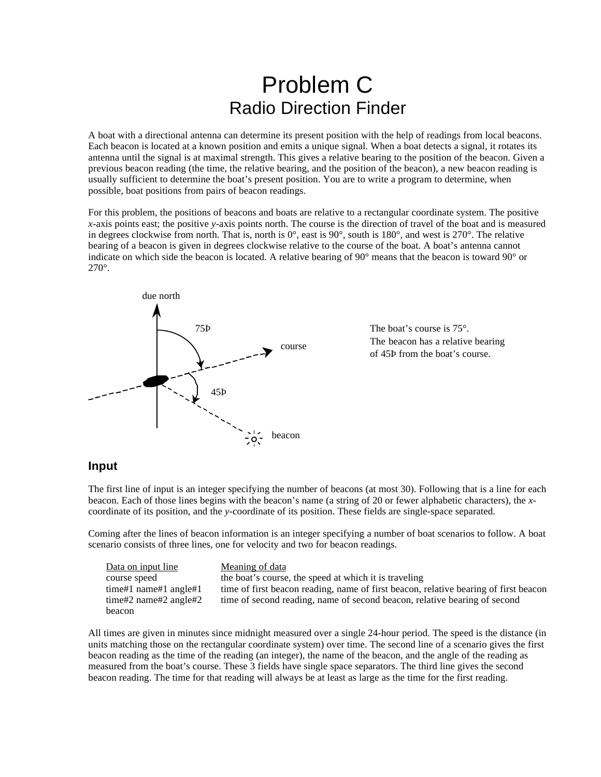# Problem C Radio Direction Finder

A boat with a directional antenna can determine its present position with the help of readings from local beacons. Each beacon is located at a known position and emits a unique signal. When a boat detects a signal, it rotates its antenna until the signal is at maximal strength. This gives a relative bearing to the position of the beacon. Given a previous beacon reading (the time, the relative bearing, and the position of the beacon), a new beacon reading is usually sufficient to determine the boat's present position. You are to write a program to determine, when possible, boat positions from pairs of beacon readings.

For this problem, the positions of beacons and boats are relative to a rectangular coordinate system. The positive *x*-axis points east; the positive *y*-axis points north. The course is the direction of travel of the boat and is measured in degrees clockwise from north. That is, north is  $0^\circ$ , east is  $90^\circ$ , south is  $180^\circ$ , and west is  $270^\circ$ . The relative bearing of a beacon is given in degrees clockwise relative to the course of the boat. A boat's antenna cannot indicate on which side the beacon is located. A relative bearing of 90° means that the beacon is toward 90° or 270°.



The boat's course is 75°. The beacon has a relative bearing of 45Þ from the boat's course.

### **Input**

The first line of input is an integer specifying the number of beacons (at most 30). Following that is a line for each beacon. Each of those lines begins with the beacon's name (a string of 20 or fewer alphabetic characters), the *x*coordinate of its position, and the *y*-coordinate of its position. These fields are single-space separated.

Coming after the lines of beacon information is an integer specifying a number of boat scenarios to follow. A boat scenario consists of three lines, one for velocity and two for beacon readings.

| Data on input line    | Meaning of data                                                                      |
|-----------------------|--------------------------------------------------------------------------------------|
| course speed          | the boat's course, the speed at which it is traveling                                |
| time#1 name#1 angle#1 | time of first beacon reading, name of first beacon, relative bearing of first beacon |
| time#2 name#2 angle#2 | time of second reading, name of second beacon, relative bearing of second            |
| beacon                |                                                                                      |

All times are given in minutes since midnight measured over a single 24-hour period. The speed is the distance (in units matching those on the rectangular coordinate system) over time. The second line of a scenario gives the first beacon reading as the time of the reading (an integer), the name of the beacon, and the angle of the reading as measured from the boat's course. These 3 fields have single space separators. The third line gives the second beacon reading. The time for that reading will always be at least as large as the time for the first reading.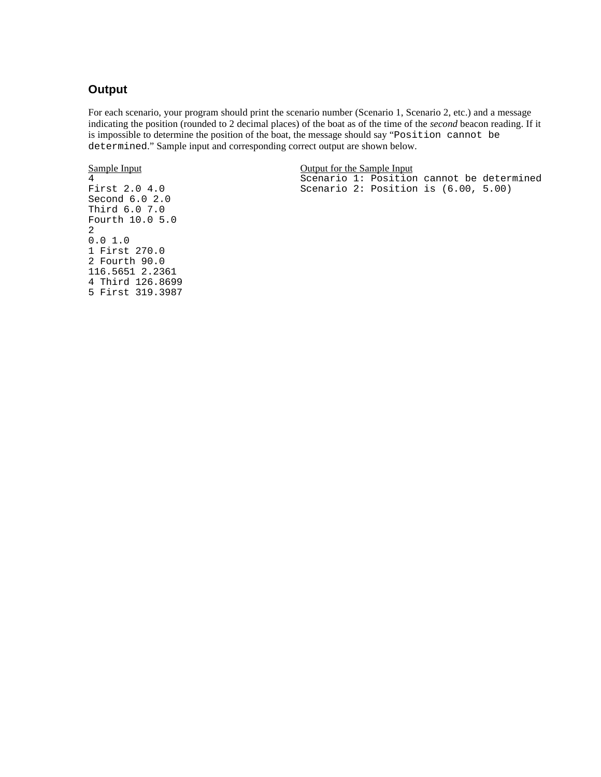## **Output**

For each scenario, your program should print the scenario number (Scenario 1, Scenario 2, etc.) and a message indicating the position (rounded to 2 decimal places) of the boat as of the time of the *second* beacon reading. If it is impossible to determine the position of the boat, the message should say "Position cannot be determined." Sample input and corresponding correct output are shown below.

Second 6.0 2.0 Third 6.0 7.0 Fourth 10.0 5.0 2 0.0 1.0 1 First 270.0 2 Fourth 90.0 116.5651 2.2361 4 Third 126.8699 5 First 319.3987

Sample Input<br>
4<br>
Scenario 1: Position<br>
Scenario 1: Position 4 1 1 Scenario 1: Position cannot be determined<br>First 2.0 4.0 1.0 Scenario 2: Position is (6.00, 5.00) Scenario 2: Position is  $(6.00, 5.00)$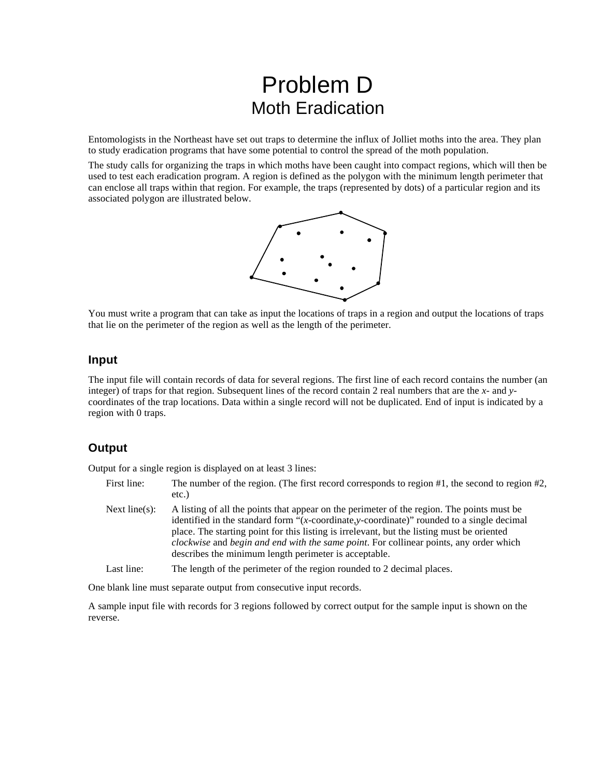# Problem D Moth Eradication

Entomologists in the Northeast have set out traps to determine the influx of Jolliet moths into the area. They plan to study eradication programs that have some potential to control the spread of the moth population.

The study calls for organizing the traps in which moths have been caught into compact regions, which will then be used to test each eradication program. A region is defined as the polygon with the minimum length perimeter that can enclose all traps within that region. For example, the traps (represented by dots) of a particular region and its associated polygon are illustrated below.



You must write a program that can take as input the locations of traps in a region and output the locations of traps that lie on the perimeter of the region as well as the length of the perimeter.

#### **Input**

The input file will contain records of data for several regions. The first line of each record contains the number (an integer) of traps for that region. Subsequent lines of the record contain 2 real numbers that are the *x*- and *y*coordinates of the trap locations. Data within a single record will not be duplicated. End of input is indicated by a region with 0 traps.

### **Output**

Output for a single region is displayed on at least 3 lines:

- First line: The number of the region. (The first record corresponds to region #1, the second to region #2, etc.)
- Next line(s): A listing of all the points that appear on the perimeter of the region. The points must be identified in the standard form "(*x*-coordinate,*y*-coordinate)" rounded to a single decimal place. The starting point for this listing is irrelevant, but the listing must be oriented *clockwise* and *begin and end with the same point*. For collinear points, any order which describes the minimum length perimeter is acceptable.
- Last line: The length of the perimeter of the region rounded to 2 decimal places.

One blank line must separate output from consecutive input records.

A sample input file with records for 3 regions followed by correct output for the sample input is shown on the reverse.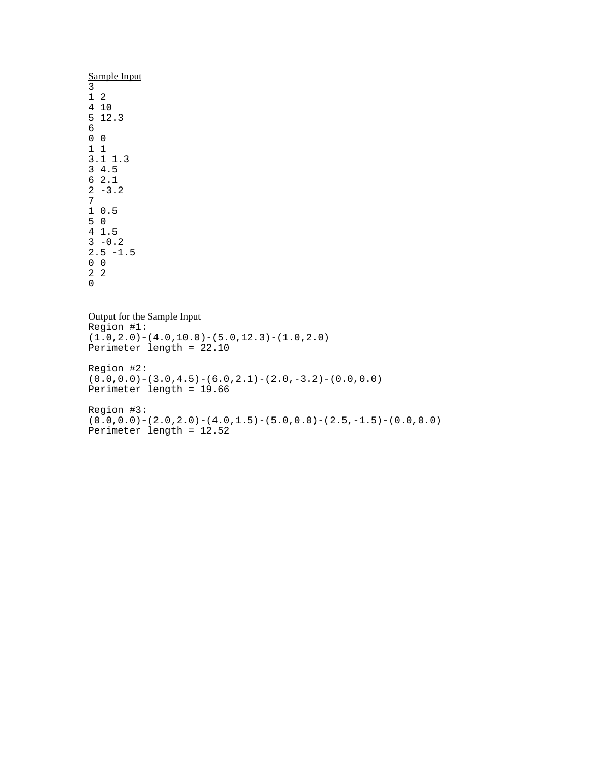| Sample Input                             |  |  |  |  |  |
|------------------------------------------|--|--|--|--|--|
| 3                                        |  |  |  |  |  |
| $\frac{1}{4}$<br>$\overline{\mathbf{c}}$ |  |  |  |  |  |
| 10                                       |  |  |  |  |  |
| 5<br>12.3                                |  |  |  |  |  |
| 6                                        |  |  |  |  |  |
| $\overline{0}$<br>$\mathbf 0$            |  |  |  |  |  |
|                                          |  |  |  |  |  |
|                                          |  |  |  |  |  |
|                                          |  |  |  |  |  |
| $3\ 4.5$<br>$6\ 2.1$<br>$2\ -3.2$<br>$7$ |  |  |  |  |  |
|                                          |  |  |  |  |  |
|                                          |  |  |  |  |  |
| $\frac{1}{5}$<br>0.5                     |  |  |  |  |  |
| $\overline{0}$                           |  |  |  |  |  |
| 1.5<br>$\frac{4}{3}$                     |  |  |  |  |  |
| $-0.2$                                   |  |  |  |  |  |
| $2.5 -1.5$<br>0 0                        |  |  |  |  |  |
|                                          |  |  |  |  |  |
| 2<br>$\overline{2}$                      |  |  |  |  |  |
| $\overline{0}$                           |  |  |  |  |  |

#### Output for the Sample Input

Region #1:  $(1.0, 2.0) - (4.0, 10.0) - (5.0, 12.3) - (1.0, 2.0)$ Perimeter length = 22.10

Region #2:  $(0.0, 0.0) - (3.0, 4.5) - (6.0, 2.1) - (2.0, -3.2) - (0.0, 0.0)$ Perimeter length = 19.66

#### Region #3:  $(0.0, 0.0) - (2.0, 2.0) - (4.0, 1.5) - (5.0, 0.0) - (2.5, -1.5) - (0.0, 0.0)$ Perimeter length = 12.52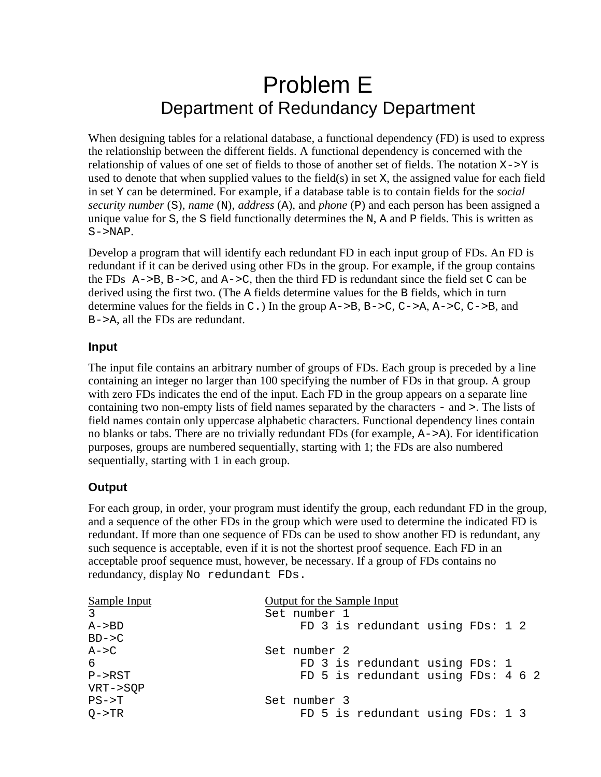# Problem E Department of Redundancy Department

When designing tables for a relational database, a functional dependency (FD) is used to express the relationship between the different fields. A functional dependency is concerned with the relationship of values of one set of fields to those of another set of fields. The notation  $X \rightarrow Y$  is used to denote that when supplied values to the field(s) in set X, the assigned value for each field in set Y can be determined. For example, if a database table is to contain fields for the *social security number* (S), *name* (N), *address* (A), and *phone* (P) and each person has been assigned a unique value for S, the S field functionally determines the N, A and P fields. This is written as S->NAP.

Develop a program that will identify each redundant FD in each input group of FDs. An FD is redundant if it can be derived using other FDs in the group. For example, if the group contains the FDs  $A \rightarrow B$ ,  $B \rightarrow C$ , and  $A \rightarrow C$ , then the third FD is redundant since the field set C can be derived using the first two. (The A fields determine values for the B fields, which in turn determine values for the fields in C.) In the group  $A \rightarrow B$ ,  $B \rightarrow C$ ,  $C \rightarrow A$ ,  $A \rightarrow C$ ,  $C \rightarrow B$ , and B->A, all the FDs are redundant.

## **Input**

The input file contains an arbitrary number of groups of FDs. Each group is preceded by a line containing an integer no larger than 100 specifying the number of FDs in that group. A group with zero FDs indicates the end of the input. Each FD in the group appears on a separate line containing two non-empty lists of field names separated by the characters - and >. The lists of field names contain only uppercase alphabetic characters. Functional dependency lines contain no blanks or tabs. There are no trivially redundant FDs (for example, A->A). For identification purposes, groups are numbered sequentially, starting with 1; the FDs are also numbered sequentially, starting with 1 in each group.

# **Output**

For each group, in order, your program must identify the group, each redundant FD in the group, and a sequence of the other FDs in the group which were used to determine the indicated FD is redundant. If more than one sequence of FDs can be used to show another FD is redundant, any such sequence is acceptable, even if it is not the shortest proof sequence. Each FD in an acceptable proof sequence must, however, be necessary. If a group of FDs contains no redundancy, display No redundant FDs.

| <b>Sample Input</b> | <b>Output for the Sample Input</b> |
|---------------------|------------------------------------|
| 3                   | Set number 1                       |
| $A->BD$             | FD 3 is redundant using FDs: 1 2   |
| $BD->C$             |                                    |
| $A->C$              | Set number 2                       |
| 6                   | FD 3 is redundant using FDs: 1     |
| $P->RST$            | FD 5 is redundant using FDs: 4 6 2 |
| $VRT->SOP$          |                                    |
| $PS->T$             | Set number 3                       |
| $O->TR$             | FD 5 is redundant using FDs: 1 3   |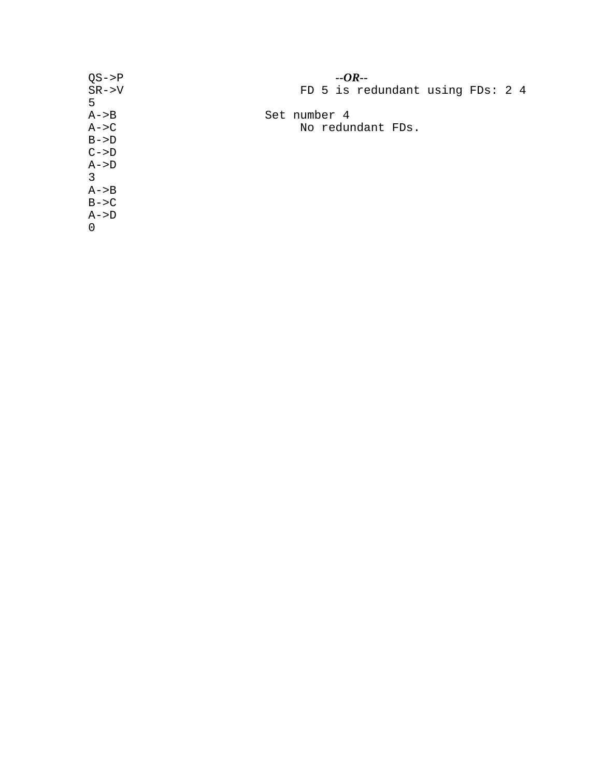| $QS->P$ | $-OR-$                           |
|---------|----------------------------------|
| $SR->V$ | FD 5 is redundant using FDs: 2 4 |
| 5       |                                  |
| $A->B$  | Set number 4                     |
| $A->C$  | No redundant FDs.                |
| $B->D$  |                                  |
| $C->D$  |                                  |
| $A->D$  |                                  |
| 3       |                                  |
| $A->B$  |                                  |
| $B->C$  |                                  |
| $A->D$  |                                  |
| 0       |                                  |
|         |                                  |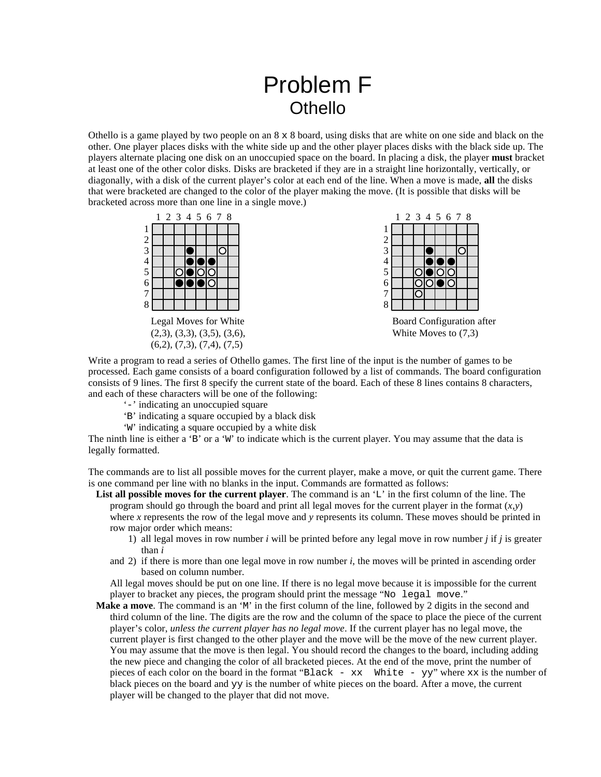# Problem F **Othello**

Othello is a game played by two people on an  $8 \times 8$  board, using disks that are white on one side and black on the other. One player places disks with the white side up and the other player places disks with the black side up. The players alternate placing one disk on an unoccupied space on the board. In placing a disk, the player **must** bracket at least one of the other color disks. Disks are bracketed if they are in a straight line horizontally, vertically, or diagonally, with a disk of the current player's color at each end of the line. When a move is made, **all** the disks that were bracketed are changed to the color of the player making the move. (It is possible that disks will be bracketed across more than one line in a single move.)



Legal Moves for White (2,3), (3,3), (3,5), (3,6), (6,2), (7,3), (7,4), (7,5)



Board Configuration after White Moves to (7,3)

Write a program to read a series of Othello games. The first line of the input is the number of games to be processed. Each game consists of a board configuration followed by a list of commands. The board configuration consists of 9 lines. The first 8 specify the current state of the board. Each of these 8 lines contains 8 characters, and each of these characters will be one of the following:

- '-' indicating an unoccupied square
- 'B' indicating a square occupied by a black disk
- 'W' indicating a square occupied by a white disk

The ninth line is either a 'B' or a 'W' to indicate which is the current player. You may assume that the data is legally formatted.

The commands are to list all possible moves for the current player, make a move, or quit the current game. There is one command per line with no blanks in the input. Commands are formatted as follows:

- **List all possible moves for the current player**. The command is an 'L' in the first column of the line. The program should go through the board and print all legal moves for the current player in the format  $(x, y)$ where *x* represents the row of the legal move and *y* represents its column. These moves should be printed in row major order which means:
	- 1) all legal moves in row number *i* will be printed before any legal move in row number *j* if *j* is greater than *i*
	- and 2) if there is more than one legal move in row number *i*, the moves will be printed in ascending order based on column number.

All legal moves should be put on one line. If there is no legal move because it is impossible for the current player to bracket any pieces, the program should print the message "No legal move."

**Make a move**. The command is an 'M' in the first column of the line, followed by 2 digits in the second and third column of the line. The digits are the row and the column of the space to place the piece of the current player's color, *unless the current player has no legal move*. If the current player has no legal move, the current player is first changed to the other player and the move will be the move of the new current player. You may assume that the move is then legal. You should record the changes to the board, including adding the new piece and changing the color of all bracketed pieces. At the end of the move, print the number of pieces of each color on the board in the format "Black  $-xx$  White  $-yy$ " where xx is the number of black pieces on the board and yy is the number of white pieces on the board. After a move, the current player will be changed to the player that did not move.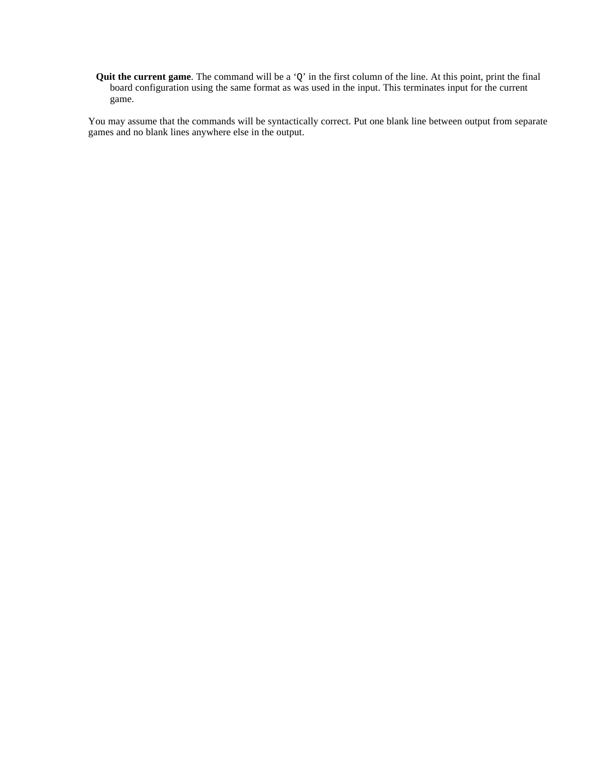**Quit the current game**. The command will be a 'Q' in the first column of the line. At this point, print the final board configuration using the same format as was used in the input. This terminates input for the current game.

You may assume that the commands will be syntactically correct. Put one blank line between output from separate games and no blank lines anywhere else in the output.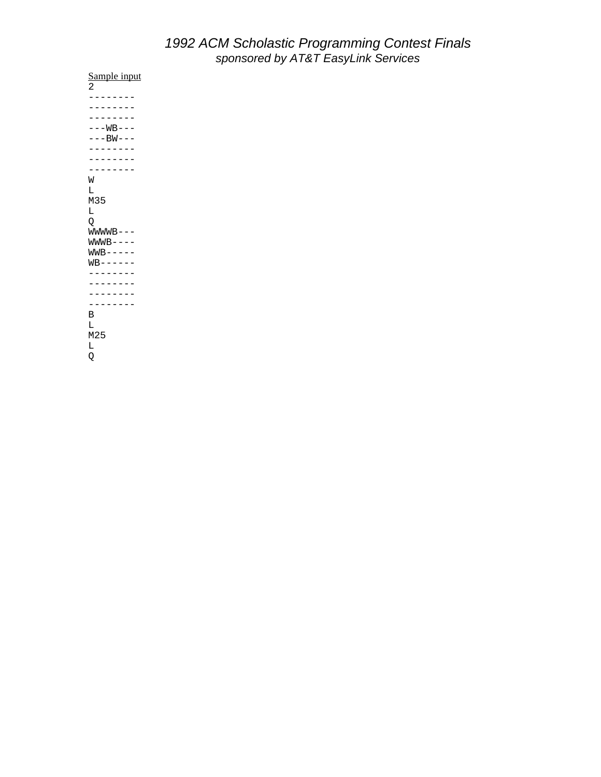Sample input 2 -------- -------- --------  $---WB-- ---BW---$ -------- -------- -------- W  $\mathbf L$ M35  $\mathbf{L}^-$ Q WWWWB---  $WWWB-- WWB--- WB------$ -------- -------- -------- -------- B  $\mathbf L$ M25  $\mathbf L$ Q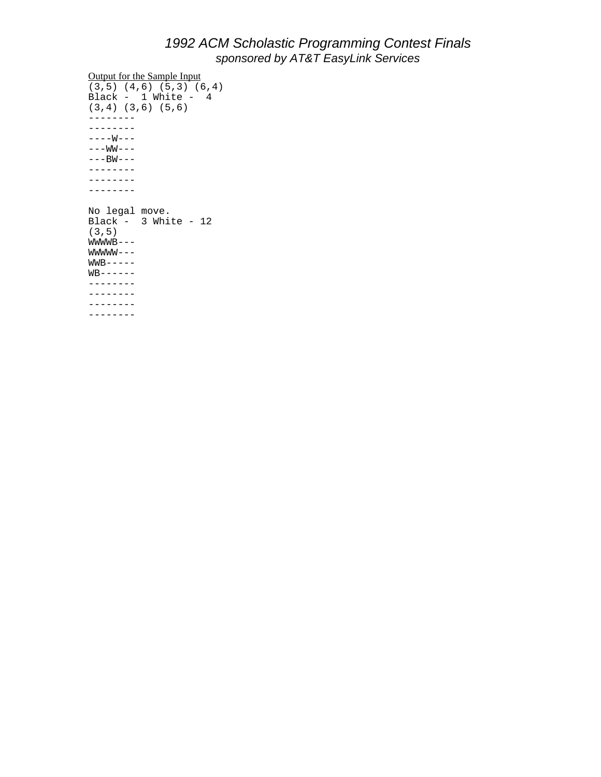Output for the Sample Input  $(3,5)$   $(4,6)$   $(5,3)$   $(6,4)$  $Black - 1$  White - 4 (3,4) (3,6) (5,6) -------- --------  $---W-- ---WW-- ---BW---$ -------- -------- -------- No legal move.  $Black - 3 White - 12$ (3,5) WWWWB---  $WWWW - - WWB-- WB---$ -------- -------- -------- --------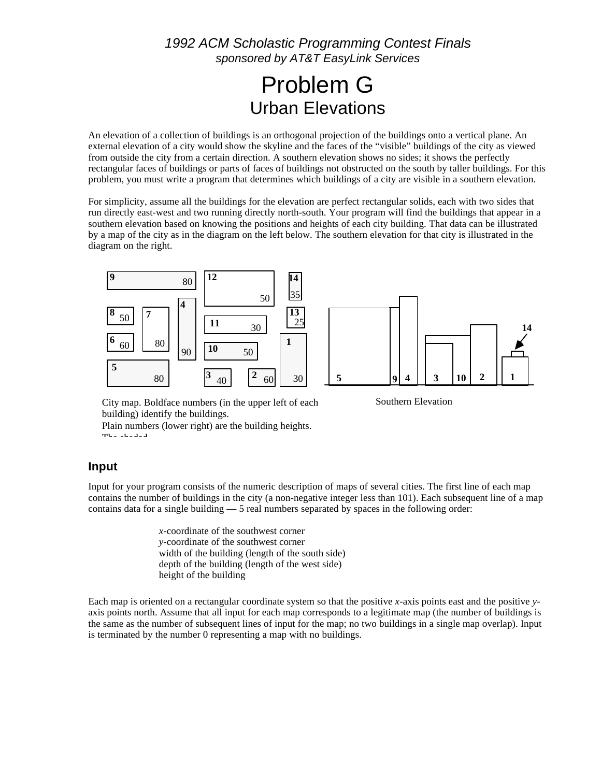# Problem G Urban Elevations

An elevation of a collection of buildings is an orthogonal projection of the buildings onto a vertical plane. An external elevation of a city would show the skyline and the faces of the "visible" buildings of the city as viewed from outside the city from a certain direction. A southern elevation shows no sides; it shows the perfectly rectangular faces of buildings or parts of faces of buildings not obstructed on the south by taller buildings. For this problem, you must write a program that determines which buildings of a city are visible in a southern elevation.

For simplicity, assume all the buildings for the elevation are perfect rectangular solids, each with two sides that run directly east-west and two running directly north-south. Your program will find the buildings that appear in a southern elevation based on knowing the positions and heights of each city building. That data can be illustrated by a map of the city as in the diagram on the left below. The southern elevation for that city is illustrated in the diagram on the right.





City map. Boldface numbers (in the upper left of each Southern Elevation building) identify the buildings.

Plain numbers (lower right) are the building heights. The shaded

### **Input**

Input for your program consists of the numeric description of maps of several cities. The first line of each map contains the number of buildings in the city (a non-negative integer less than 101). Each subsequent line of a map contains data for a single building — 5 real numbers separated by spaces in the following order:

> *x*-coordinate of the southwest corner *y*-coordinate of the southwest corner width of the building (length of the south side) depth of the building (length of the west side) height of the building

Each map is oriented on a rectangular coordinate system so that the positive *x*-axis points east and the positive *y*axis points north. Assume that all input for each map corresponds to a legitimate map (the number of buildings is the same as the number of subsequent lines of input for the map; no two buildings in a single map overlap). Input is terminated by the number 0 representing a map with no buildings.